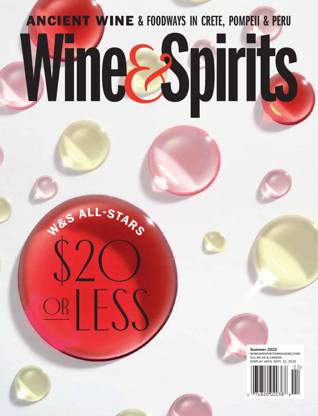# ANCIENT WINE & FOODWAYS IN CRETE, POMPEII & PERU Wineespirits

**<sup>W</sup>&<sup>S</sup> <sup>A</sup>LL-STAR<sup>S</sup>**

\$20

ORLESS

**Summer 2022** WINEANDSPIRITSMAGAZINE.COM \$11.99 US & CANADA DISPLAY UNTIL SEPT. 21.